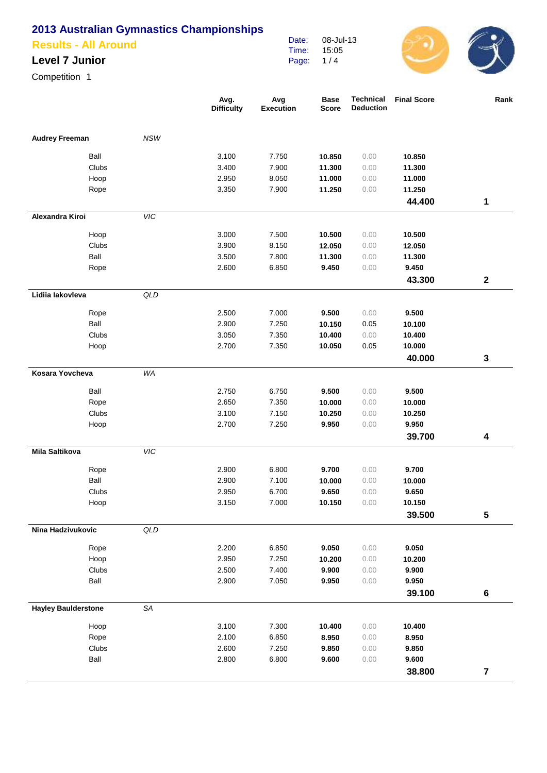### **Results - All Around**

#### **Level 7 Junior**

Competition 1

|                            |            | Avg.<br><b>Difficulty</b> | Avg<br><b>Execution</b> | <b>Base</b><br><b>Score</b> | Technical<br><b>Deduction</b> | <b>Final Score</b> | Rank                    |
|----------------------------|------------|---------------------------|-------------------------|-----------------------------|-------------------------------|--------------------|-------------------------|
| <b>Audrey Freeman</b>      | <b>NSW</b> |                           |                         |                             |                               |                    |                         |
| Ball                       |            | 3.100                     | 7.750                   | 10.850                      | 0.00                          | 10.850             |                         |
| Clubs                      |            | 3.400                     | 7.900                   | 11.300                      | 0.00                          | 11.300             |                         |
| Hoop                       |            | 2.950                     | 8.050                   | 11.000                      | 0.00                          | 11.000             |                         |
| Rope                       |            | 3.350                     | 7.900                   | 11.250                      | 0.00                          | 11.250             |                         |
|                            |            |                           |                         |                             |                               | 44.400             | 1                       |
| Alexandra Kiroi            | VIC        |                           |                         |                             |                               |                    |                         |
| Hoop                       |            | 3.000                     | 7.500                   | 10.500                      | 0.00                          | 10.500             |                         |
| Clubs                      |            | 3.900                     | 8.150                   | 12.050                      | 0.00                          | 12.050             |                         |
| Ball                       |            | 3.500                     | 7.800                   | 11.300                      | 0.00                          | 11.300             |                         |
| Rope                       |            | 2.600                     | 6.850                   | 9.450                       | 0.00                          | 9.450              |                         |
|                            |            |                           |                         |                             |                               | 43.300             | $\mathbf 2$             |
| Lidiia lakovleva           | QLD        |                           |                         |                             |                               |                    |                         |
| Rope                       |            | 2.500                     | 7.000                   | 9.500                       | 0.00                          | 9.500              |                         |
| Ball                       |            | 2.900                     | 7.250                   | 10.150                      | 0.05                          | 10.100             |                         |
| Clubs                      |            | 3.050                     | 7.350                   | 10.400                      | 0.00                          | 10.400             |                         |
| Hoop                       |            | 2.700                     | 7.350                   | 10.050                      | 0.05                          | 10.000             |                         |
|                            |            |                           |                         |                             |                               | 40.000             | 3                       |
| Kosara Yovcheva            | WA         |                           |                         |                             |                               |                    |                         |
| Ball                       |            | 2.750                     | 6.750                   | 9.500                       | 0.00                          | 9.500              |                         |
| Rope                       |            | 2.650                     | 7.350                   | 10.000                      | 0.00                          | 10.000             |                         |
| Clubs                      |            | 3.100                     | 7.150                   | 10.250                      | 0.00                          | 10.250             |                         |
| Hoop                       |            | 2.700                     | 7.250                   | 9.950                       | 0.00                          | 9.950              |                         |
|                            |            |                           |                         |                             |                               | 39.700             | 4                       |
| <b>Mila Saltikova</b>      | VIC        |                           |                         |                             |                               |                    |                         |
| Rope                       |            | 2.900                     | 6.800                   | 9.700                       | 0.00                          | 9.700              |                         |
| Ball                       |            | 2.900                     | 7.100                   | 10.000                      | 0.00                          | 10.000             |                         |
| Clubs                      |            | 2.950                     | 6.700                   | 9.650                       | 0.00                          | 9.650              |                         |
| Hoop                       |            | 3.150                     | 7.000                   | 10.150                      | 0.00                          | 10.150             |                         |
|                            |            |                           |                         |                             |                               | 39.500             | 5                       |
| Nina Hadzivukovic          | QLD        |                           |                         |                             |                               |                    |                         |
| Rope                       |            | 2.200                     | 6.850                   | 9.050                       | 0.00                          | 9.050              |                         |
| Hoop                       |            | 2.950                     | 7.250                   | 10.200                      | 0.00                          | 10.200             |                         |
| Clubs                      |            | 2.500                     | 7.400                   | 9.900                       | 0.00                          | 9.900              |                         |
| Ball                       |            | 2.900                     | 7.050                   | 9.950                       | 0.00                          | 9.950              |                         |
|                            |            |                           |                         |                             |                               | 39.100             | $\bf 6$                 |
| <b>Hayley Baulderstone</b> | SA         |                           |                         |                             |                               |                    |                         |
| Hoop                       |            | 3.100                     | 7.300                   | 10.400                      | 0.00                          | 10.400             |                         |
| Rope                       |            | 2.100                     | 6.850                   | 8.950                       | 0.00                          | 8.950              |                         |
| Clubs                      |            | 2.600                     | 7.250                   | 9.850                       | 0.00                          | 9.850              |                         |
| Ball                       |            | 2.800                     | 6.800                   | 9.600                       | 0.00                          | 9.600              |                         |
|                            |            |                           |                         |                             |                               | 38.800             | $\overline{\mathbf{7}}$ |

Date: Time: Page: 08-Jul-13 15:05 1 / 4

 $\bigcirc$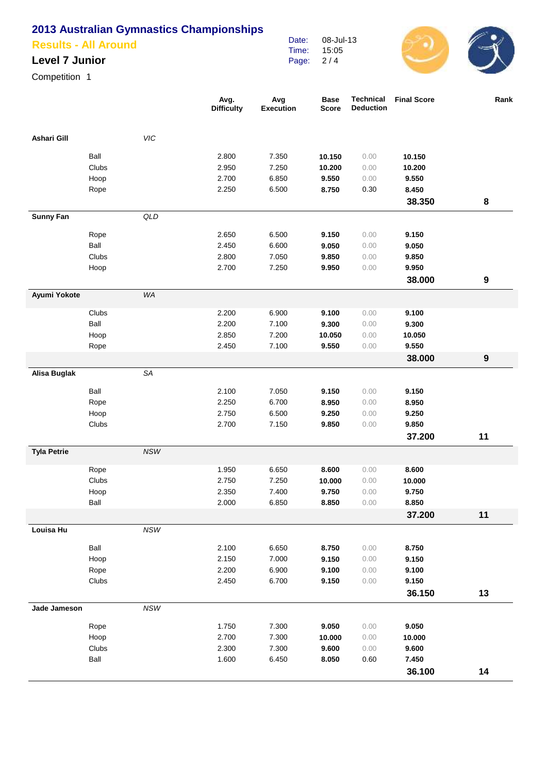## **Results - All Around**

## **Level 7 Junior**

Competition 1

|                    |               |                             | Avg.<br><b>Difficulty</b> | Avg<br><b>Execution</b> | <b>Base</b><br><b>Score</b> | Technical<br><b>Deduction</b> | <b>Final Score</b> | Rank |
|--------------------|---------------|-----------------------------|---------------------------|-------------------------|-----------------------------|-------------------------------|--------------------|------|
| Ashari Gill        |               | VIC                         |                           |                         |                             |                               |                    |      |
|                    | Ball          |                             | 2.800                     | 7.350                   | 10.150                      | 0.00                          | 10.150             |      |
|                    | Clubs         |                             | 2.950                     | 7.250                   | 10.200                      | 0.00                          | 10.200             |      |
|                    | Hoop          |                             | 2.700                     | 6.850                   | 9.550                       | 0.00                          | 9.550              |      |
|                    | Rope          |                             | 2.250                     | 6.500                   | 8.750                       | 0.30                          | 8.450              |      |
|                    |               |                             |                           |                         |                             |                               | 38.350             | 8    |
| <b>Sunny Fan</b>   |               | QLD                         |                           |                         |                             |                               |                    |      |
|                    | Rope          |                             | 2.650                     | 6.500                   | 9.150                       | 0.00                          | 9.150              |      |
|                    | Ball          |                             | 2.450                     | 6.600                   | 9.050                       | 0.00                          | 9.050              |      |
|                    | Clubs         |                             | 2.800                     | 7.050                   | 9.850                       | 0.00                          | 9.850              |      |
|                    | Hoop          |                             | 2.700                     | 7.250                   | 9.950                       | 0.00                          | 9.950              |      |
|                    |               |                             |                           |                         |                             |                               | 38.000             | 9    |
| Ayumi Yokote       |               | WA                          |                           |                         |                             |                               |                    |      |
|                    | Clubs         |                             | 2.200                     | 6.900                   | 9.100                       | 0.00                          | 9.100              |      |
|                    | Ball          |                             | 2.200                     | 7.100                   | 9.300                       | 0.00                          | 9.300              |      |
|                    | Hoop          |                             | 2.850                     | 7.200                   | 10.050                      | 0.00                          | 10.050             |      |
|                    | Rope          |                             | 2.450                     | 7.100                   | 9.550                       | 0.00                          | 9.550              |      |
|                    |               |                             |                           |                         |                             |                               | 38.000             | 9    |
| Alisa Buglak       |               | SA                          |                           |                         |                             |                               |                    |      |
|                    | Ball          |                             | 2.100                     | 7.050                   | 9.150                       | 0.00                          | 9.150              |      |
|                    | Rope          |                             | 2.250                     | 6.700                   | 8.950                       | 0.00                          | 8.950              |      |
|                    | Hoop          |                             | 2.750                     | 6.500                   | 9.250                       | 0.00                          | 9.250              |      |
|                    | Clubs         |                             | 2.700                     | 7.150                   | 9.850                       | 0.00                          | 9.850              |      |
|                    |               |                             |                           |                         |                             |                               | 37.200             | 11   |
| <b>Tyla Petrie</b> |               | $NSW$                       |                           |                         |                             |                               |                    |      |
|                    | Rope          |                             | 1.950                     | 6.650                   | 8.600                       | 0.00                          | 8.600              |      |
|                    | Clubs         |                             | 2.750                     | 7.250                   | 10.000                      | 0.00                          | 10.000             |      |
|                    | Hoop          |                             | 2.350                     | 7.400                   | 9.750                       | 0.00                          | 9.750              |      |
|                    | Ball          |                             | 2.000                     | 6.850                   | 8.850                       | 0.00                          | 8.850              |      |
|                    |               |                             |                           |                         |                             |                               | 37.200             | 11   |
| Louisa Hu          |               | $\ensuremath{\mathit{NSW}}$ |                           |                         |                             |                               |                    |      |
|                    | Ball          |                             | 2.100                     | 6.650                   | 8.750                       | 0.00                          | 8.750              |      |
|                    | Hoop          |                             | 2.150                     | 7.000                   | 9.150                       | 0.00                          | 9.150              |      |
|                    | Rope          |                             | 2.200                     | 6.900                   | 9.100                       | 0.00                          | 9.100              |      |
|                    | Clubs         |                             | 2.450                     | 6.700                   | 9.150                       | 0.00                          | 9.150              |      |
| Jade Jameson       |               | $\ensuremath{\mathit{NSW}}$ |                           |                         |                             |                               | 36.150             | 13   |
|                    |               |                             |                           |                         |                             |                               |                    |      |
|                    | Rope          |                             | 1.750                     | 7.300                   | 9.050                       | 0.00                          | 9.050              |      |
|                    | Hoop          |                             | 2.700                     | 7.300                   | 10.000                      | 0.00                          | 10.000             |      |
|                    | Clubs<br>Ball |                             | 2.300<br>1.600            | 7.300<br>6.450          | 9.600<br>8.050              | 0.00<br>0.60                  | 9.600<br>7.450     |      |
|                    |               |                             |                           |                         |                             |                               |                    | 14   |
|                    |               |                             |                           |                         |                             |                               | 36.100             |      |

Date: Time: Page:

08-Jul-13 15:05 2 / 4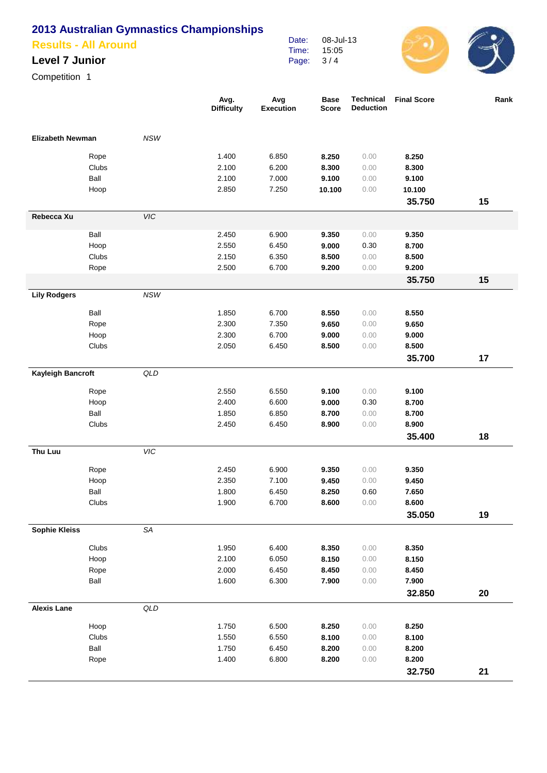### **Results - All Around**

#### **Level 7 Junior**

Competition 1

|                         |       |                | Avg.<br><b>Difficulty</b> | Avg<br><b>Execution</b> | <b>Base</b><br><b>Score</b> | <b>Technical</b><br><b>Deduction</b> | <b>Final Score</b> | Rank |
|-------------------------|-------|----------------|---------------------------|-------------------------|-----------------------------|--------------------------------------|--------------------|------|
| <b>Elizabeth Newman</b> |       | <b>NSW</b>     |                           |                         |                             |                                      |                    |      |
|                         | Rope  |                | 1.400                     | 6.850                   | 8.250                       | 0.00                                 | 8.250              |      |
|                         | Clubs |                | 2.100                     | 6.200                   | 8.300                       | 0.00                                 | 8.300              |      |
|                         | Ball  |                | 2.100                     | 7.000                   | 9.100                       | 0.00                                 | 9.100              |      |
|                         | Hoop  |                | 2.850                     | 7.250                   | 10.100                      | 0.00                                 | 10.100             |      |
|                         |       |                |                           |                         |                             |                                      | 35.750             | 15   |
| Rebecca Xu              |       | VIC            |                           |                         |                             |                                      |                    |      |
|                         | Ball  |                | 2.450                     | 6.900                   | 9.350                       | 0.00                                 | 9.350              |      |
|                         | Hoop  |                | 2.550                     | 6.450                   | 9.000                       | 0.30                                 | 8.700              |      |
|                         | Clubs |                | 2.150                     | 6.350                   | 8.500                       | 0.00                                 | 8.500              |      |
|                         | Rope  |                | 2.500                     | 6.700                   | 9.200                       | 0.00                                 | 9.200              |      |
|                         |       |                |                           |                         |                             |                                      | 35.750             | 15   |
| <b>Lily Rodgers</b>     |       | <b>NSW</b>     |                           |                         |                             |                                      |                    |      |
|                         | Ball  |                | 1.850                     | 6.700                   | 8.550                       | 0.00                                 | 8.550              |      |
|                         | Rope  |                | 2.300                     | 7.350                   | 9.650                       | 0.00                                 | 9.650              |      |
|                         | Hoop  |                | 2.300                     | 6.700                   | 9.000                       | 0.00                                 | 9.000              |      |
|                         | Clubs |                | 2.050                     | 6.450                   | 8.500                       | 0.00                                 | 8.500              |      |
|                         |       |                |                           |                         |                             |                                      | 35.700             | 17   |
| Kayleigh Bancroft       |       | QLD            |                           |                         |                             |                                      |                    |      |
|                         | Rope  |                | 2.550                     | 6.550                   | 9.100                       | 0.00                                 | 9.100              |      |
|                         | Hoop  |                | 2.400                     | 6.600                   | 9.000                       | 0.30                                 | 8.700              |      |
|                         | Ball  |                | 1.850                     | 6.850                   | 8.700                       | 0.00                                 | 8.700              |      |
|                         | Clubs |                | 2.450                     | 6.450                   | 8.900                       | 0.00                                 | 8.900              |      |
|                         |       |                |                           |                         |                             |                                      | 35.400             | 18   |
| Thu Luu                 |       | VIC            |                           |                         |                             |                                      |                    |      |
|                         | Rope  |                | 2.450                     | 6.900                   | 9.350                       | 0.00                                 | 9.350              |      |
|                         | Hoop  |                | 2.350                     | 7.100                   | 9.450                       | 0.00                                 | 9.450              |      |
|                         | Ball  |                | 1.800                     | 6.450                   | 8.250                       | 0.60                                 | 7.650              |      |
|                         | Clubs |                | 1.900                     | 6.700                   | 8.600                       | 0.00                                 | 8.600              |      |
|                         |       |                |                           |                         |                             |                                      | 35.050             | 19   |
| <b>Sophie Kleiss</b>    |       | SA             |                           |                         |                             |                                      |                    |      |
|                         | Clubs |                | 1.950                     | 6.400                   | 8.350                       | 0.00                                 | 8.350              |      |
|                         | Hoop  |                | 2.100                     | 6.050                   | 8.150                       | 0.00                                 | 8.150              |      |
|                         | Rope  |                | 2.000                     | 6.450                   | 8.450                       | 0.00                                 | 8.450              |      |
|                         | Ball  |                | 1.600                     | 6.300                   | 7.900                       | 0.00                                 | 7.900              |      |
|                         |       |                |                           |                         |                             |                                      | 32.850             | 20   |
| <b>Alexis Lane</b>      |       | $\mathsf{QLD}$ |                           |                         |                             |                                      |                    |      |
|                         | Hoop  |                | 1.750                     | 6.500                   | 8.250                       | 0.00                                 | 8.250              |      |
|                         | Clubs |                | 1.550                     | 6.550                   | 8.100                       | 0.00                                 | 8.100              |      |
|                         | Ball  |                | 1.750                     | 6.450                   | 8.200                       | 0.00                                 | 8.200              |      |
|                         | Rope  |                | 1.400                     | 6.800                   | 8.200                       | 0.00                                 | 8.200              |      |
|                         |       |                |                           |                         |                             |                                      | 32.750             | 21   |

Date: Time: Page:

08-Jul-13 15:05 3 / 4